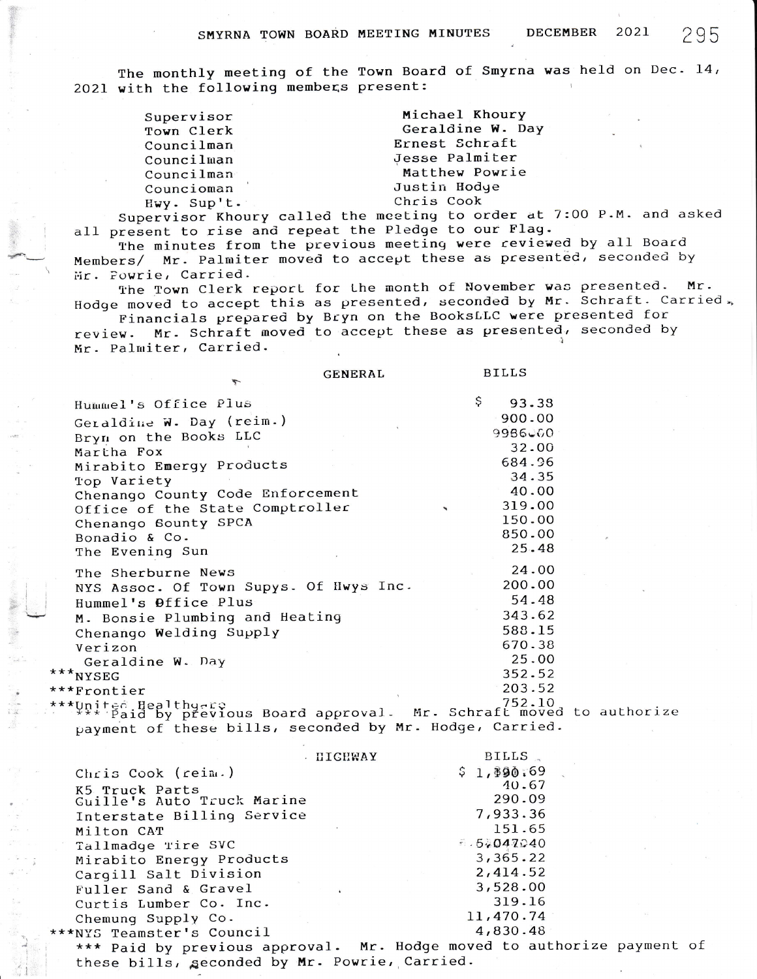The monthly meeting of the Town Board of Smyrna was held on Dec. 14, 2021 with the following members present:

| Supervisor  | Michael Khoury                                |  |  |  |  |  |
|-------------|-----------------------------------------------|--|--|--|--|--|
| Town Clerk  | Geraldine W. Day                              |  |  |  |  |  |
| Councilman  | Ernest Schraft                                |  |  |  |  |  |
| Councilman  | Jesse Palmiter                                |  |  |  |  |  |
| Councilman  | Matthew Powrie                                |  |  |  |  |  |
| Councioman  | Justin Hodye                                  |  |  |  |  |  |
| Hwy. Sup't. | Chris Cook                                    |  |  |  |  |  |
|             | exuiser Khoury called the meeting to order at |  |  |  |  |  |

Supervisor Khoury called the meeting to order at 7:00 P.M. and asked all present to rise and repeat the Pledge to our Flag.

The minutes from the previous meeting were reviewed by all Board Members/ Mr. Palmiter moved to accept these as presented, seconded by Mr. Powrie, Carried.

The Town Clerk report for the month of November was presented. Mr. Hodge moved to accept this as presented, seconded by Mr. Schraft. Carried.

Financials prepared by Bryn on the BooksLLC were presented for Mr. Schraft moved to accept these as presented, seconded by review. Mr. Palmiter, Carried.

|                                                                                               | GENERAL | <b>RILLS</b> |  |
|-----------------------------------------------------------------------------------------------|---------|--------------|--|
| Hummel's Office Plus                                                                          | \$      | 93.38        |  |
| Geraldine W. Day (reim.)                                                                      |         | 900.00       |  |
| Bryn on the Books LLC                                                                         |         | 9986600      |  |
| Martha Fox                                                                                    |         | 32.00        |  |
| Mirabito Emergy Products                                                                      |         | 684.96       |  |
| Top Variety                                                                                   |         | 34.35        |  |
| Chenango County Code Enforcement                                                              |         | 40.00        |  |
| Office of the State Comptroller                                                               |         | 319.00       |  |
| Chenango Sounty SPCA                                                                          |         | 150.00       |  |
| Bonadio & Co.                                                                                 |         | 850.00       |  |
| The Evening Sun                                                                               |         | 25.48        |  |
| The Sherburne News                                                                            |         | 24.00        |  |
| NYS Assoc. Of Town Supys. Of Hwys Inc.                                                        |         | 200.00       |  |
| Hummel's Office Plus                                                                          |         | 54.48        |  |
| M. Bonsie Plumbing and Heating                                                                |         | 343.62       |  |
| Chenango Welding Supply                                                                       |         | 588.15       |  |
| Verizon                                                                                       |         | 670.38       |  |
| Geraldine W. Day                                                                              |         | 25.00        |  |
| ***NYSEG                                                                                      |         | 352.52       |  |
| ***Frontier                                                                                   |         | 203.52       |  |
| ***United Healthy-ro<br>***** Paid by previous Board approval. Mr. Schraft moved to authorize |         | 752.10       |  |
| payment of these bills, seconded by Mr. Hodge, Carried.                                       |         |              |  |

|                                                             | <b>IIICHWAY</b> |  | BILLS.     |  |
|-------------------------------------------------------------|-----------------|--|------------|--|
| Chris Cook (reim.)                                          |                 |  | \$1,190.69 |  |
| K5 Truck Parts                                              |                 |  | 40.67      |  |
| Guille's Auto Truck Marine                                  |                 |  | 290.09     |  |
| Interstate Billing Service                                  |                 |  | 7,933.36   |  |
| Milton CAT                                                  |                 |  | 151.65     |  |
| Tallmadge Tire SVC                                          |                 |  | 5.5047040  |  |
| Mirabito Energy Products                                    |                 |  | 3,365.22   |  |
| Carqill Salt Division                                       |                 |  | 2,414.52   |  |
| Fuller Sand & Gravel                                        |                 |  | 3,528.00   |  |
| Curtis Lumber Co. Inc.                                      |                 |  | 319.16     |  |
| Chemung Supply Co.                                          |                 |  | 11,470.74  |  |
| **NYS Teamster's Council                                    |                 |  | 4,830.48   |  |
| *** Paid by previous approval. Mr. Hodge moved to authorize |                 |  |            |  |
|                                                             |                 |  |            |  |

these bills, seconded by Mr. Powrie, Carried.

2021

payment of

**DECEMBER**